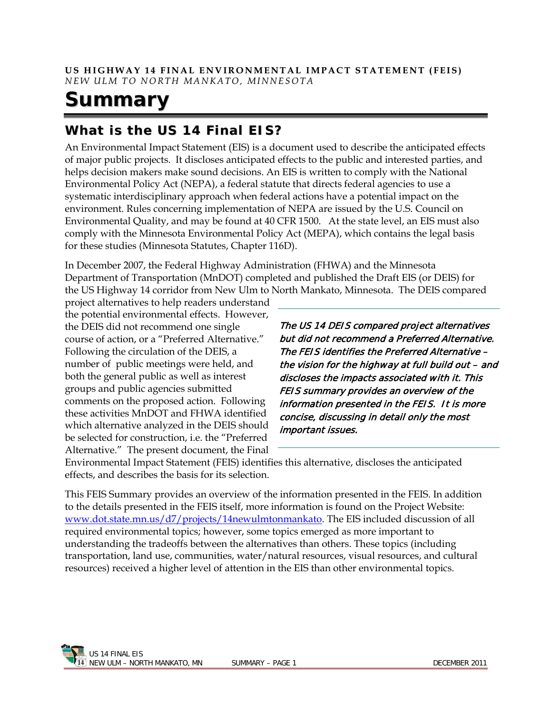# **Summary**

# **What is the US 14 Final EIS?**

An Environmental Impact Statement (EIS) is a document used to describe the anticipated effects of major public projects. It discloses anticipated effects to the public and interested parties, and helps decision makers make sound decisions. An EIS is written to comply with the National Environmental Policy Act (NEPA), a federal statute that directs federal agencies to use a systematic interdisciplinary approach when federal actions have a potential impact on the environment. Rules concerning implementation of NEPA are issued by the U.S. Council on Environmental Quality, and may be found at 40 CFR 1500. At the state level, an EIS must also comply with the Minnesota Environmental Policy Act (MEPA), which contains the legal basis for these studies (Minnesota Statutes, Chapter 116D).

In December 2007, the Federal Highway Administration (FHWA) and the Minnesota Department of Transportation (MnDOT) completed and published the Draft EIS (or DEIS) for the US Highway 14 corridor from New Ulm to North Mankato, Minnesota. The DEIS compared

project alternatives to help readers understand the potential environmental effects. However, the DEIS did not recommend one single course of action, or a "Preferred Alternative." Following the circulation of the DEIS, a number of public meetings were held, and both the general public as well as interest groups and public agencies submitted comments on the proposed action. Following these activities MnDOT and FHWA identified which alternative analyzed in the DEIS should be selected for construction, i.e. the "Preferred Alternative." The present document, the Final

The US 14 DEIS compared project alternatives but did not recommend a Preferred Alternative. The FEIS identifies the Preferred Alternative – the vision for the highway at full build out – and discloses the impacts associated with it. This FEIS summary provides an overview of the information presented in the FEIS. It is more concise, discussing in detail only the most important issues.

Environmental Impact Statement (FEIS) identifies this alternative, discloses the anticipated effects, and describes the basis for its selection.

This FEIS Summary provides an overview of the information presented in the FEIS. In addition to the details presented in the FEIS itself, more information is found on the Project Website: [www.dot.state.mn.us/d7/projects/14newulmtonmankato.](http://www.dot.state.mn.us/d7/projects/14newulmtonmankato) The EIS included discussion of all required environmental topics; however, some topics emerged as more important to understanding the tradeoffs between the alternatives than others. These topics (including transportation, land use, communities, water/natural resources, visual resources, and cultural resources) received a higher level of attention in the EIS than other environmental topics.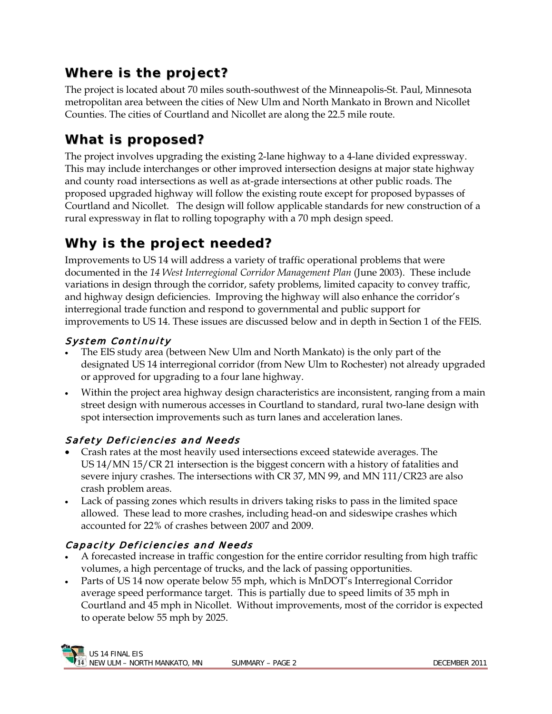# **Where is the project?**

The project is located about 70 miles south-southwest of the Minneapolis-St. Paul, Minnesota metropolitan area between the cities of New Ulm and North Mankato in Brown and Nicollet Counties. The cities of Courtland and Nicollet are along the 22.5 mile route.

# **What is proposed?**

The project involves upgrading the existing 2-lane highway to a 4-lane divided expressway. This may include interchanges or other improved intersection designs at major state highway and county road intersections as well as at-grade intersections at other public roads. The proposed upgraded highway will follow the existing route except for proposed bypasses of Courtland and Nicollet. The design will follow applicable standards for new construction of a rural expressway in flat to rolling topography with a 70 mph design speed.

# **Why is the project needed?**

Improvements to US 14 will address a variety of traffic operational problems that were documented in the *14 West Interregional Corridor Management Plan* (June 2003). These include variations in design through the corridor, safety problems, limited capacity to convey traffic, and highway design deficiencies. Improving the highway will also enhance the corridor's interregional trade function and respond to governmental and public support for improvements to US 14. These issues are discussed below and in depth in Section 1 of the FEIS.

### System Continuity

- The EIS study area (between New Ulm and North Mankato) is the only part of the designated US 14 interregional corridor (from New Ulm to Rochester) not already upgraded or approved for upgrading to a four lane highway.
- Within the project area highway design characteristics are inconsistent, ranging from a main street design with numerous accesses in Courtland to standard, rural two-lane design with spot intersection improvements such as turn lanes and acceleration lanes.

### Safety Deficiencies and Needs

- Crash rates at the most heavily used intersections exceed statewide averages. The US 14/MN 15/CR 21 intersection is the biggest concern with a history of fatalities and severe injury crashes. The intersections with CR 37, MN 99, and MN 111/CR23 are also crash problem areas.
- Lack of passing zones which results in drivers taking risks to pass in the limited space allowed. These lead to more crashes, including head-on and sideswipe crashes which accounted for 22% of crashes between 2007 and 2009.

### Capacity Deficiencies and Needs

- A forecasted increase in traffic congestion for the entire corridor resulting from high traffic volumes, a high percentage of trucks, and the lack of passing opportunities.
- Parts of US 14 now operate below 55 mph, which is MnDOT's Interregional Corridor average speed performance target. This is partially due to speed limits of 35 mph in Courtland and 45 mph in Nicollet. Without improvements, most of the corridor is expected to operate below 55 mph by 2025.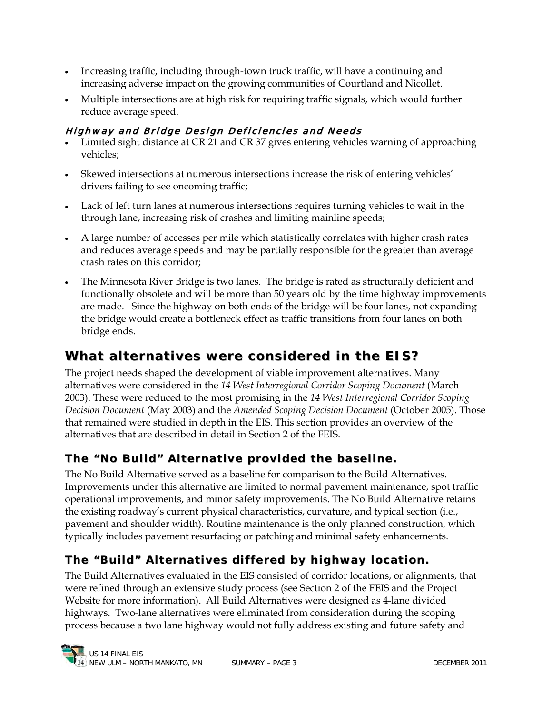- Increasing traffic, including through-town truck traffic, will have a continuing and increasing adverse impact on the growing communities of Courtland and Nicollet.
- Multiple intersections are at high risk for requiring traffic signals, which would further reduce average speed.

### Highway and Bridge Design Deficiencies and Needs

- Limited sight distance at CR 21 and CR 37 gives entering vehicles warning of approaching vehicles;
- Skewed intersections at numerous intersections increase the risk of entering vehicles' drivers failing to see oncoming traffic;
- Lack of left turn lanes at numerous intersections requires turning vehicles to wait in the through lane, increasing risk of crashes and limiting mainline speeds;
- A large number of accesses per mile which statistically correlates with higher crash rates and reduces average speeds and may be partially responsible for the greater than average crash rates on this corridor;
- The Minnesota River Bridge is two lanes. The bridge is rated as structurally deficient and functionally obsolete and will be more than 50 years old by the time highway improvements are made. Since the highway on both ends of the bridge will be four lanes, not expanding the bridge would create a bottleneck effect as traffic transitions from four lanes on both bridge ends.

# **What alternat ives were considered in the EIS?**

The project needs shaped the development of viable improvement alternatives. Many alternatives were considered in the *14 West Interregional Corridor Scoping Document* (March 2003). These were reduced to the most promising in the *14 West Interregional Corridor Scoping Decision Document* (May 2003) and the *Amended Scoping Decision Document* (October 2005). Those that remained were studied in depth in the EIS. This section provides an overview of the alternatives that are described in detail in Section 2 of the FEIS.

### **The " No Buil d" Al t er nat i ve pr ovi ded t he bas eline.**

The No Build Alternative served as a baseline for comparison to the Build Alternatives. Improvements under this alternative are limited to normal pavement maintenance, spot traffic operational improvements, and minor safety improvements. The No Build Alternative retains the existing roadway's current physical characteristics, curvature, and typical section (i.e., pavement and shoulder width). Routine maintenance is the only planned construction, which typically includes pavement resurfacing or patching and minimal safety enhancements.

# **The "Buil d" Al t er nat i ves diff er ed by hi ghway l oc at i on.**

The Build Alternatives evaluated in the EIS consisted of corridor locations, or alignments, that were refined through an extensive study process (see Section 2 of the FEIS and the Project Website for more information). All Build Alternatives were designed as 4-lane divided highways. Two-lane alternatives were eliminated from consideration during the scoping process because a two lane highway would not fully address existing and future safety and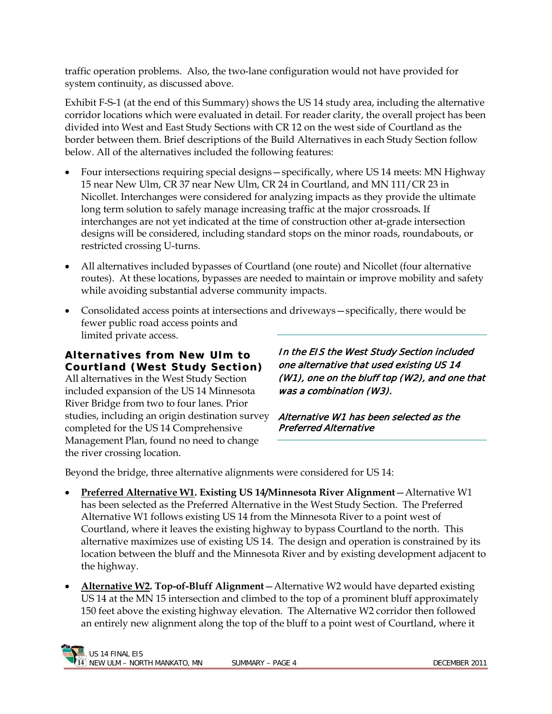traffic operation problems. Also, the two-lane configuration would not have provided for system continuity, as discussed above.

Exhibit F-S-1 (at the end of this Summary) shows the US 14 study area, including the alternative corridor locations which were evaluated in detail. For reader clarity, the overall project has been divided into West and East Study Sections with CR 12 on the west side of Courtland as the border between them. Brief descriptions of the Build Alternatives in each Study Section follow below. All of the alternatives included the following features:

- Four intersections requiring special designs—specifically, where US 14 meets: MN Highway 15 near New Ulm, CR 37 near New Ulm, CR 24 in Courtland, and MN 111/CR 23 in Nicollet. Interchanges were considered for analyzing impacts as they provide the ultimate long term solution to safely manage increasing traffic at the major crossroads*.* If interchanges are not yet indicated at the time of construction other at-grade intersection designs will be considered, including standard stops on the minor roads, roundabouts, or restricted crossing U-turns.
- All alternatives included bypasses of Courtland (one route) and Nicollet (four alternative routes). At these locations, bypasses are needed to maintain or improve mobility and safety while avoiding substantial adverse community impacts.
- Consolidated access points at intersections and driveways—specifically, there would be fewer public road access points and limited private access.

**Al t er nat i ves f r om New Ul m t o Cour t l and ( West St udy Sec t i on)** All alternatives in the West Study Section included expansion of the US 14 Minnesota River Bridge from two to four lanes. Prior studies, including an origin destination survey completed for the US 14 Comprehensive Management Plan, found no need to change the river crossing location.

In the EIS the West Study Section included one alternative that used existing US 14 (W1), one on the bluff top (W2), and one that was a combination (W3).

Alternative W1 has been selected as the Preferred Alternative

Beyond the bridge, three alternative alignments were considered for US 14:

- **Preferred Alternative W1. Existing US 14/Minnesota River Alignment**—Alternative W1 has been selected as the Preferred Alternative in the West Study Section. The Preferred Alternative W1 follows existing US 14 from the Minnesota River to a point west of Courtland, where it leaves the existing highway to bypass Courtland to the north. This alternative maximizes use of existing US 14. The design and operation is constrained by its location between the bluff and the Minnesota River and by existing development adjacent to the highway.
- **Alternative W2. Top-of-Bluff Alignment**—Alternative W2 would have departed existing US 14 at the MN 15 intersection and climbed to the top of a prominent bluff approximately 150 feet above the existing highway elevation. The Alternative W2 corridor then followed an entirely new alignment along the top of the bluff to a point west of Courtland, where it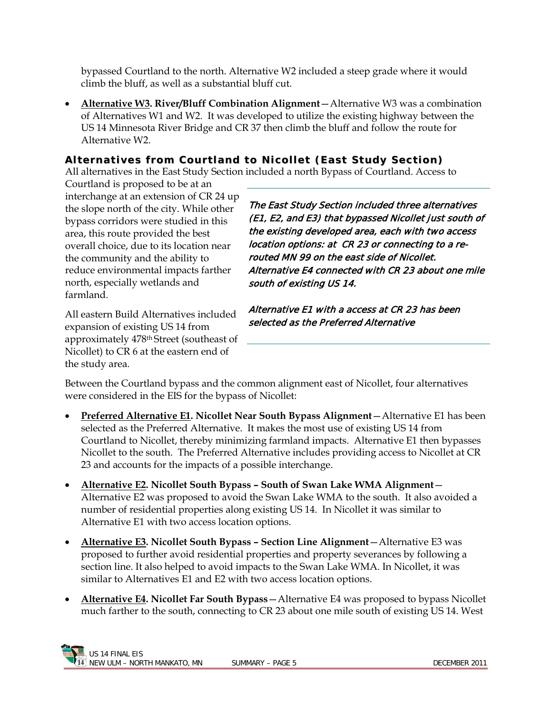bypassed Courtland to the north. Alternative W2 included a steep grade where it would climb the bluff, as well as a substantial bluff cut.

• **Alternative W3. River/Bluff Combination Alignment**—Alternative W3 was a combination of Alternatives W1 and W2. It was developed to utilize the existing highway between the US 14 Minnesota River Bridge and CR 37 then climb the bluff and follow the route for Alternative W2.

#### Alternatives from Courtland to Nicollet (East Study Section)

All alternatives in the East Study Section included a north Bypass of Courtland. Access to

Courtland is proposed to be at an interchange at an extension of CR 24 up the slope north of the city. While other bypass corridors were studied in this area, this route provided the best overall choice, due to its location near the community and the ability to reduce environmental impacts farther north, especially wetlands and farmland.

All eastern Build Alternatives included expansion of existing US 14 from approximately 478th Street (southeast of Nicollet) to CR 6 at the eastern end of the study area.

The East Study Section included three alternatives (E1, E2, and E3) that bypassed Nicollet just south of the existing developed area, each with two access location options: at CR 23 or connecting to a rerouted MN 99 on the east side of Nicollet. Alternative E4 connected with CR 23 about one mile south of existing US 14.

Alternative E1 with a access at CR 23 has been selected as the Preferred Alternative

Between the Courtland bypass and the common alignment east of Nicollet, four alternatives were considered in the EIS for the bypass of Nicollet:

- **Preferred Alternative E1. Nicollet Near South Bypass Alignment**—Alternative E1 has been selected as the Preferred Alternative. It makes the most use of existing US 14 from Courtland to Nicollet, thereby minimizing farmland impacts. Alternative E1 then bypasses Nicollet to the south. The Preferred Alternative includes providing access to Nicollet at CR 23 and accounts for the impacts of a possible interchange.
- **Alternative E2. Nicollet South Bypass South of Swan Lake WMA Alignment** Alternative E2 was proposed to avoid the Swan Lake WMA to the south. It also avoided a number of residential properties along existing US 14. In Nicollet it was similar to Alternative E1 with two access location options.
- **Alternative E3. Nicollet South Bypass Section Line Alignment**—Alternative E3 was proposed to further avoid residential properties and property severances by following a section line. It also helped to avoid impacts to the Swan Lake WMA. In Nicollet, it was similar to Alternatives E1 and E2 with two access location options.
- **Alternative E4. Nicollet Far South Bypass**—Alternative E4 was proposed to bypass Nicollet much farther to the south, connecting to CR 23 about one mile south of existing US 14. West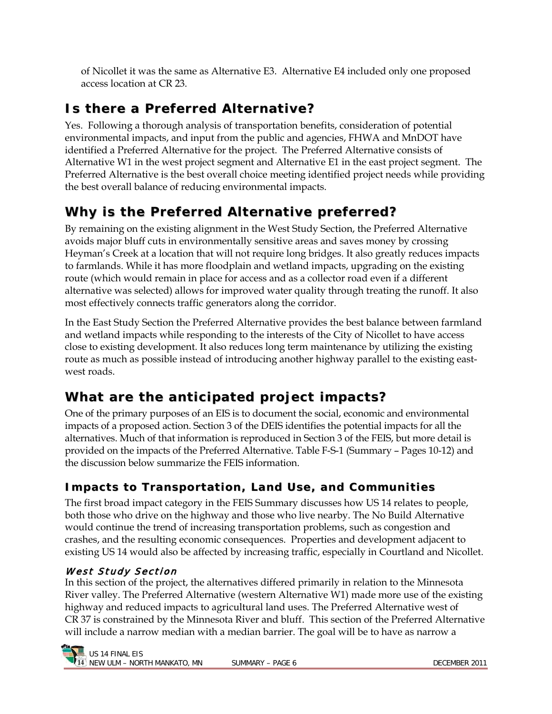of Nicollet it was the same as Alternative E3. Alternative E4 included only one proposed access location at CR 23.

# **Is there a Preferred Alternat ive?**

Yes. Following a thorough analysis of transportation benefits, consideration of potential environmental impacts, and input from the public and agencies, FHWA and MnDOT have identified a Preferred Alternative for the project. The Preferred Alternative consists of Alternative W1 in the west project segment and Alternative E1 in the east project segment. The Preferred Alternative is the best overall choice meeting identified project needs while providing the best overall balance of reducing environmental impacts.

# **Why is the Preferred Alternat ive preferred?**

By remaining on the existing alignment in the West Study Section, the Preferred Alternative avoids major bluff cuts in environmentally sensitive areas and saves money by crossing Heyman's Creek at a location that will not require long bridges. It also greatly reduces impacts to farmlands. While it has more floodplain and wetland impacts, upgrading on the existing route (which would remain in place for access and as a collector road even if a different alternative was selected) allows for improved water quality through treating the runoff. It also most effectively connects traffic generators along the corridor.

In the East Study Section the Preferred Alternative provides the best balance between farmland and wetland impacts while responding to the interests of the City of Nicollet to have access close to existing development. It also reduces long term maintenance by utilizing the existing route as much as possible instead of introducing another highway parallel to the existing eastwest roads.

# **What are the ant icipated project impacts?**

One of the primary purposes of an EIS is to document the social, economic and environmental impacts of a proposed action. Section 3 of the DEIS identifies the potential impacts for all the alternatives. Much of that information is reproduced in Section 3 of the FEIS, but more detail is provided on the impacts of the Preferred Alternative. Table F-S-1 (Summary – Pages 10-12) and the discussion below summarize the FEIS information.

### **I mpact s t o Tr ans por t at i on, Land Us e, and Communi t i es**

The first broad impact category in the FEIS Summary discusses how US 14 relates to people, both those who drive on the highway and those who live nearby. The No Build Alternative would continue the trend of increasing transportation problems, such as congestion and crashes, and the resulting economic consequences. Properties and development adjacent to existing US 14 would also be affected by increasing traffic, especially in Courtland and Nicollet.

### West Study Section

In this section of the project, the alternatives differed primarily in relation to the Minnesota River valley. The Preferred Alternative (western Alternative W1) made more use of the existing highway and reduced impacts to agricultural land uses. The Preferred Alternative west of CR 37 is constrained by the Minnesota River and bluff. This section of the Preferred Alternative will include a narrow median with a median barrier. The goal will be to have as narrow a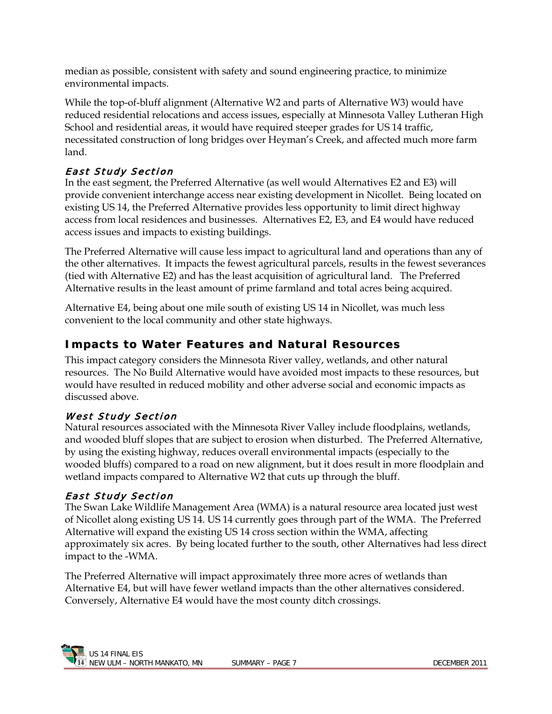median as possible, consistent with safety and sound engineering practice, to minimize environmental impacts.

While the top-of-bluff alignment (Alternative W2 and parts of Alternative W3) would have reduced residential relocations and access issues, especially at Minnesota Valley Lutheran High School and residential areas, it would have required steeper grades for US 14 traffic, necessitated construction of long bridges over Heyman's Creek, and affected much more farm land.

### East Study Section

In the east segment, the Preferred Alternative (as well would Alternatives E2 and E3) will provide convenient interchange access near existing development in Nicollet. Being located on existing US 14, the Preferred Alternative provides less opportunity to limit direct highway access from local residences and businesses. Alternatives E2, E3, and E4 would have reduced access issues and impacts to existing buildings.

The Preferred Alternative will cause less impact to agricultural land and operations than any of the other alternatives. It impacts the fewest agricultural parcels, results in the fewest severances (tied with Alternative E2) and has the least acquisition of agricultural land. The Preferred Alternative results in the least amount of prime farmland and total acres being acquired.

Alternative E4, being about one mile south of existing US 14 in Nicollet, was much less convenient to the local community and other state highways.

### **I mpact s t o Wat er Feat ur es and Nat ur al Res ourc es**

This impact category considers the Minnesota River valley, wetlands, and other natural resources. The No Build Alternative would have avoided most impacts to these resources, but would have resulted in reduced mobility and other adverse social and economic impacts as discussed above.

#### West Study Section

Natural resources associated with the Minnesota River Valley include floodplains, wetlands, and wooded bluff slopes that are subject to erosion when disturbed. The Preferred Alternative, by using the existing highway, reduces overall environmental impacts (especially to the wooded bluffs) compared to a road on new alignment, but it does result in more floodplain and wetland impacts compared to Alternative W2 that cuts up through the bluff.

#### East Study Section

The Swan Lake Wildlife Management Area (WMA) is a natural resource area located just west of Nicollet along existing US 14. US 14 currently goes through part of the WMA. The Preferred Alternative will expand the existing US 14 cross section within the WMA, affecting approximately six acres. By being located further to the south, other Alternatives had less direct impact to the -WMA.

The Preferred Alternative will impact approximately three more acres of wetlands than Alternative E4, but will have fewer wetland impacts than the other alternatives considered. Conversely, Alternative E4 would have the most county ditch crossings.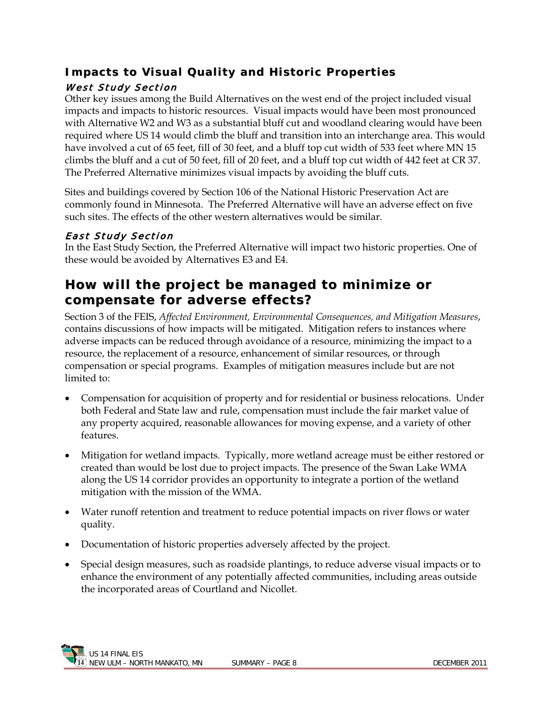### **I mpact s t o Vis ual Quali t y and Hist or ic Pr oper t i es** West Study Section

Other key issues among the Build Alternatives on the west end of the project included visual impacts and impacts to historic resources. Visual impacts would have been most pronounced with Alternative W2 and W3 as a substantial bluff cut and woodland clearing would have been required where US 14 would climb the bluff and transition into an interchange area. This would have involved a cut of 65 feet, fill of 30 feet, and a bluff top cut width of 533 feet where MN 15 climbs the bluff and a cut of 50 feet, fill of 20 feet, and a bluff top cut width of 442 feet at CR 37. The Preferred Alternative minimizes visual impacts by avoiding the bluff cuts.

Sites and buildings covered by Section 106 of the National Historic Preservation Act are commonly found in Minnesota. The Preferred Alternative will have an adverse effect on five such sites. The effects of the other western alternatives would be similar.

#### East Study Section

In the East Study Section, the Preferred Alternative will impact two historic properties. One of these would be avoided by Alternatives E3 and E4.

### **How will the project be managed to minimize or compensate for adverse effects?**

Section 3 of the FEIS, *Affected Environment, Environmental Consequences, and Mitigation Measures*, contains discussions of how impacts will be mitigated. Mitigation refers to instances where adverse impacts can be reduced through avoidance of a resource, minimizing the impact to a resource, the replacement of a resource, enhancement of similar resources, or through compensation or special programs. Examples of mitigation measures include but are not limited to:

- Compensation for acquisition of property and for residential or business relocations. Under both Federal and State law and rule, compensation must include the fair market value of any property acquired, reasonable allowances for moving expense, and a variety of other features.
- Mitigation for wetland impacts. Typically, more wetland acreage must be either restored or created than would be lost due to project impacts. The presence of the Swan Lake WMA along the US 14 corridor provides an opportunity to integrate a portion of the wetland mitigation with the mission of the WMA.
- Water runoff retention and treatment to reduce potential impacts on river flows or water quality.
- Documentation of historic properties adversely affected by the project.
- Special design measures, such as roadside plantings, to reduce adverse visual impacts or to enhance the environment of any potentially affected communities, including areas outside the incorporated areas of Courtland and Nicollet.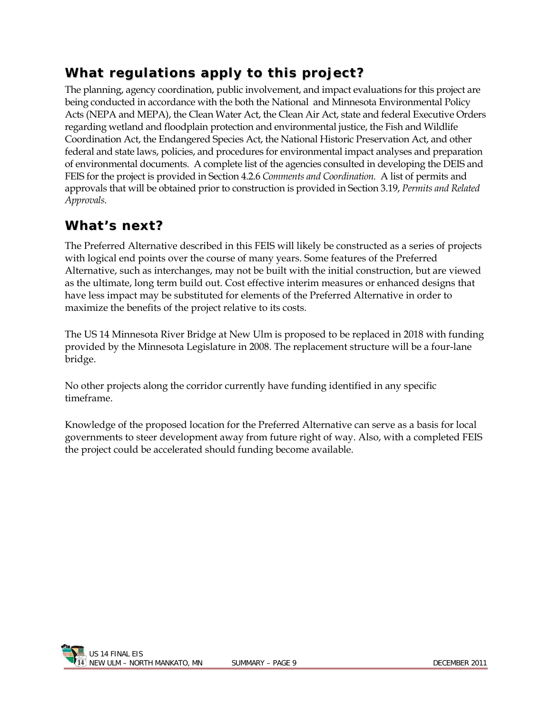# **What regulat ions apply to this project?**

The planning, agency coordination, public involvement, and impact evaluations for this project are being conducted in accordance with the both the National and Minnesota Environmental Policy Acts (NEPA and MEPA), the Clean Water Act, the Clean Air Act, state and federal Executive Orders regarding wetland and floodplain protection and environmental justice, the Fish and Wildlife Coordination Act, the Endangered Species Act, the National Historic Preservation Act, and other federal and state laws, policies, and procedures for environmental impact analyses and preparation of environmental documents. A complete list of the agencies consulted in developing the DEIS and FEIS for the project is provided in Section 4.2.6 *Comments and Coordination.* A list of permits and approvals that will be obtained prior to construction is provided in Section 3.19, *Permits and Related Approvals.*

# **What 's next?**

The Preferred Alternative described in this FEIS will likely be constructed as a series of projects with logical end points over the course of many years. Some features of the Preferred Alternative, such as interchanges, may not be built with the initial construction, but are viewed as the ultimate, long term build out. Cost effective interim measures or enhanced designs that have less impact may be substituted for elements of the Preferred Alternative in order to maximize the benefits of the project relative to its costs.

The US 14 Minnesota River Bridge at New Ulm is proposed to be replaced in 2018 with funding provided by the Minnesota Legislature in 2008. The replacement structure will be a four-lane bridge.

No other projects along the corridor currently have funding identified in any specific timeframe.

Knowledge of the proposed location for the Preferred Alternative can serve as a basis for local governments to steer development away from future right of way. Also, with a completed FEIS the project could be accelerated should funding become available.

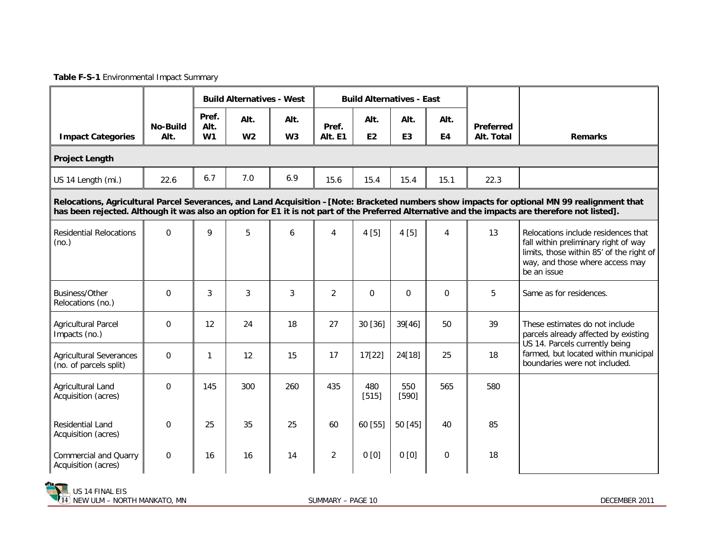**Table F-S-1** Environmental Impact Summary

|                                                                                                                                                                                                                                                                                                 |                         | <b>Build Alternatives - West</b> |                        | <b>Build Alternatives - East</b> |                  |                        |                        |             |                                |                                                                                                                                                                           |  |
|-------------------------------------------------------------------------------------------------------------------------------------------------------------------------------------------------------------------------------------------------------------------------------------------------|-------------------------|----------------------------------|------------------------|----------------------------------|------------------|------------------------|------------------------|-------------|--------------------------------|---------------------------------------------------------------------------------------------------------------------------------------------------------------------------|--|
| <b>Impact Categories</b>                                                                                                                                                                                                                                                                        | <b>No-Build</b><br>Alt. | Pref.<br>Alt.<br>W1              | Alt.<br>W <sub>2</sub> | Alt.<br>W3                       | Pref.<br>Alt. E1 | Alt.<br>E <sub>2</sub> | Alt.<br>E <sub>3</sub> | Alt.<br>E4  | <b>Preferred</b><br>Alt. Total | <b>Remarks</b>                                                                                                                                                            |  |
| <b>Project Length</b>                                                                                                                                                                                                                                                                           |                         |                                  |                        |                                  |                  |                        |                        |             |                                |                                                                                                                                                                           |  |
| US 14 Length (mi.)                                                                                                                                                                                                                                                                              | 22.6                    | 6.7                              | 7.0                    | 6.9                              | 15.6             | 15.4                   | 15.4                   | 15.1        | 22.3                           |                                                                                                                                                                           |  |
| Relocations, Agricultural Parcel Severances, and Land Acquisition -[Note: Bracketed numbers show impacts for optional MN 99 realignment that<br>has been rejected. Although it was also an option for E1 it is not part of the Preferred Alternative and the impacts are therefore not listed]. |                         |                                  |                        |                                  |                  |                        |                        |             |                                |                                                                                                                                                                           |  |
| <b>Residential Relocations</b><br>(no.)                                                                                                                                                                                                                                                         | $\Omega$                | 9                                | 5                      | 6                                | 4                | 4[5]                   | 4[5]                   | 4           | 13                             | Relocations include residences that<br>fall within preliminary right of way<br>limits, those within 85' of the right of<br>way, and those where access may<br>be an issue |  |
| Business/Other<br>Relocations (no.)                                                                                                                                                                                                                                                             | $\Omega$                | 3                                | 3                      | 3                                | $\overline{2}$   | $\Omega$               | $\overline{0}$         | $\Omega$    | 5                              | Same as for residences.                                                                                                                                                   |  |
| <b>Agricultural Parcel</b><br>Impacts (no.)                                                                                                                                                                                                                                                     | $\Omega$                | 12                               | 24                     | 18                               | 27               | 30 [36]                | 39[46]                 | 50          | 39                             | These estimates do not include<br>parcels already affected by existing                                                                                                    |  |
| <b>Agricultural Severances</b><br>(no. of parcels split)                                                                                                                                                                                                                                        | $\Omega$                | $\mathbf{1}$                     | 12                     | 15                               | 17               | 17[22]                 | 24[18]                 | 25          | 18                             | US 14. Parcels currently being<br>farmed, but located within municipal<br>boundaries were not included.                                                                   |  |
| Agricultural Land<br>Acquisition (acres)                                                                                                                                                                                                                                                        | $\Omega$                | 145                              | 300                    | 260                              | 435              | 480<br>$[515]$         | 550<br>$[590]$         | 565         | 580                            |                                                                                                                                                                           |  |
| <b>Residential Land</b><br>Acquisition (acres)                                                                                                                                                                                                                                                  | 0                       | 25                               | 35                     | 25                               | 60               | 60 [55]                | 50[45]                 | 40          | 85                             |                                                                                                                                                                           |  |
| <b>Commercial and Quarry</b><br>Acquisition (acres)                                                                                                                                                                                                                                             | $\mathbf 0$             | 16                               | 16                     | 14                               | $\overline{2}$   | 0[0]                   | 0[0]                   | $\mathbf 0$ | 18                             |                                                                                                                                                                           |  |

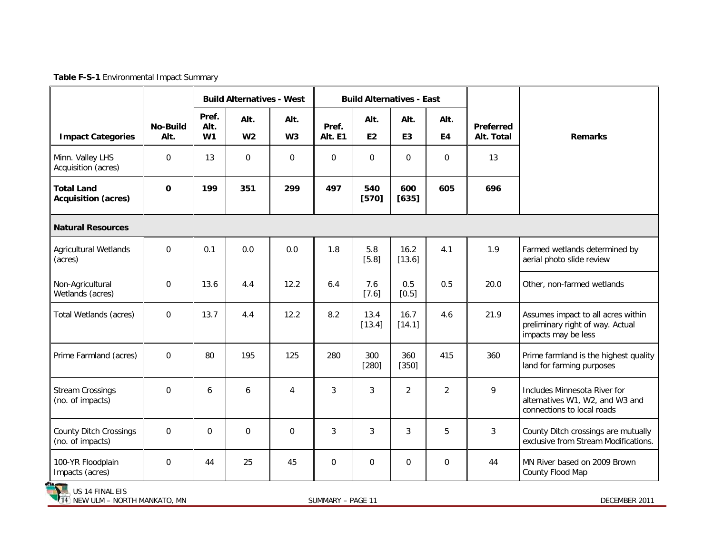**Table F-S-1** Environmental Impact Summary

|                                                                        |                         | <b>Build Alternatives - West</b> |                        |                        | <b>Build Alternatives - East</b> |                   |                        |                |                         |                                                                                               |
|------------------------------------------------------------------------|-------------------------|----------------------------------|------------------------|------------------------|----------------------------------|-------------------|------------------------|----------------|-------------------------|-----------------------------------------------------------------------------------------------|
| <b>Impact Categories</b>                                               | <b>No-Build</b><br>Alt. | Pref.<br>Alt.<br>W1              | Alt.<br>W <sub>2</sub> | Alt.<br>W <sub>3</sub> | Pref.<br>Alt. E1                 | Alt.<br><b>E2</b> | Alt.<br>E <sub>3</sub> | Alt.<br>E4     | Preferred<br>Alt. Total | <b>Remarks</b>                                                                                |
| Minn. Valley LHS<br>Acquisition (acres)                                | $\mathbf 0$             | 13                               | 0                      | $\mathbf 0$            | $\mathbf 0$                      | $\mathbf 0$       | 0                      | $\mathbf 0$    | 13                      |                                                                                               |
| <b>Total Land</b><br><b>Acquisition (acres)</b>                        | $\mathbf 0$             | 199                              | 351                    | 299                    | 497                              | 540<br>$[570]$    | 600<br>$[635]$         | 605            | 696                     |                                                                                               |
| <b>Natural Resources</b>                                               |                         |                                  |                        |                        |                                  |                   |                        |                |                         |                                                                                               |
| <b>Agricultural Wetlands</b><br>(acres)                                | $\Omega$                | 0.1                              | 0.0                    | 0.0                    | 1.8                              | 5.8<br>[5.8]      | 16.2<br>[13.6]         | 4.1            | 1.9                     | Farmed wetlands determined by<br>aerial photo slide review                                    |
| Non-Agricultural<br>Wetlands (acres)                                   | $\Omega$                | 13.6                             | 4.4                    | 12.2                   | 6.4                              | 7.6<br>$[7.6]$    | 0.5<br>$[0.5]$         | 0.5            | 20.0                    | Other, non-farmed wetlands                                                                    |
| Total Wetlands (acres)                                                 | $\mathbf 0$             | 13.7                             | 4.4                    | 12.2                   | 8.2                              | 13.4<br>[13.4]    | 16.7<br>[14.1]         | 4.6            | 21.9                    | Assumes impact to all acres within<br>preliminary right of way. Actual<br>impacts may be less |
| Prime Farmland (acres)                                                 | 0                       | 80                               | 195                    | 125                    | 280                              | 300<br>$[280]$    | 360<br>$[350]$         | 415            | 360                     | Prime farmland is the highest quality<br>land for farming purposes                            |
| <b>Stream Crossings</b><br>(no. of impacts)                            | $\Omega$                | 6                                | 6                      | $\overline{4}$         | 3                                | 3                 | $\overline{2}$         | $\overline{2}$ | 9                       | Includes Minnesota River for<br>alternatives W1, W2, and W3 and<br>connections to local roads |
| <b>County Ditch Crossings</b><br>(no. of impacts)                      | $\mathbf 0$             | $\Omega$                         | 0                      | $\mathbf 0$            | 3                                | 3                 | 3                      | 5              | 3                       | County Ditch crossings are mutually<br>exclusive from Stream Modifications.                   |
| 100-YR Floodplain<br>Impacts (acres)<br><b>The Contract of Section</b> | $\mathbf 0$             | 44                               | 25                     | 45                     | $\Omega$                         | $\Omega$          | $\mathbf 0$            | $\mathbf 0$    | 44                      | MN River based on 2009 Brown<br>County Flood Map                                              |

US 14 FINAL EIS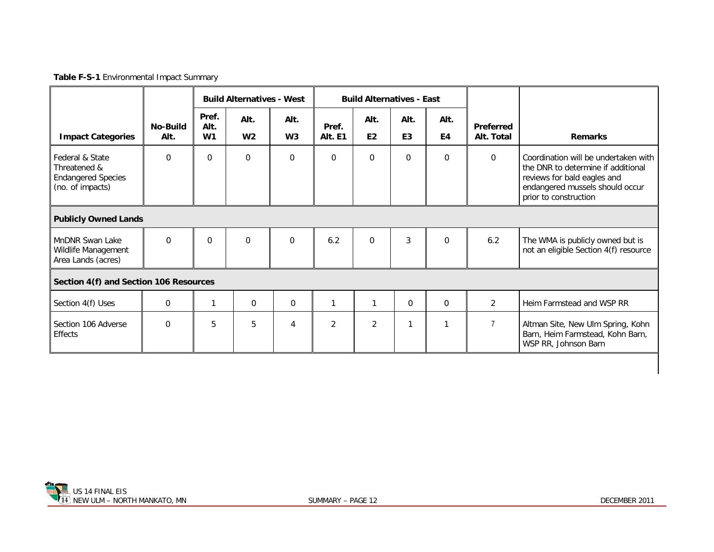**Table F-S-1** Environmental Impact Summary

|                                                                                  |                         | <b>Build Alternatives - West</b> |                        |                        |                  | <b>Build Alternatives - East</b> |                        |              |                                |                                                                                                                                                                       |
|----------------------------------------------------------------------------------|-------------------------|----------------------------------|------------------------|------------------------|------------------|----------------------------------|------------------------|--------------|--------------------------------|-----------------------------------------------------------------------------------------------------------------------------------------------------------------------|
| <b>Impact Categories</b>                                                         | <b>No-Build</b><br>Alt. | Pref.<br>Alt.<br>W <sub>1</sub>  | Alt.<br>W <sub>2</sub> | Alt.<br>W <sub>3</sub> | Pref.<br>Alt. E1 | Alt.<br>E <sub>2</sub>           | Alt.<br>E <sub>3</sub> | Alt.<br>E4   | <b>Preferred</b><br>Alt. Total | <b>Remarks</b>                                                                                                                                                        |
| Federal & State<br>Threatened &<br><b>Endangered Species</b><br>(no. of impacts) | $\Omega$                | $\Omega$                         | $\mathbf 0$            | $\Omega$               | $\Omega$         | $\mathbf 0$                      | 0                      | $\Omega$     | $\mathbf 0$                    | Coordination will be undertaken with<br>the DNR to determine if additional<br>reviews for bald eagles and<br>endangered mussels should occur<br>prior to construction |
| <b>Publicly Owned Lands</b>                                                      |                         |                                  |                        |                        |                  |                                  |                        |              |                                |                                                                                                                                                                       |
| MnDNR Swan Lake<br>Wildlife Management<br>Area Lands (acres)                     | $\Omega$                | $\Omega$                         | $\Omega$               | $\Omega$               | 6.2              | $\Omega$                         | 3                      | $\Omega$     | 6.2                            | The WMA is publicly owned but is<br>not an eligible Section 4(f) resource                                                                                             |
| Section 4(f) and Section 106 Resources                                           |                         |                                  |                        |                        |                  |                                  |                        |              |                                |                                                                                                                                                                       |
| Section 4(f) Uses                                                                | $\mathbf 0$             | 1                                | $\Omega$               | 0                      | 1                |                                  | $\mathbf 0$            | $\mathbf 0$  | $\overline{2}$                 | Heim Farmstead and WSP RR                                                                                                                                             |
| Section 106 Adverse<br>Effects                                                   | 0                       | 5                                | 5                      | 4                      | $\overline{2}$   | $\overline{2}$                   | 1                      | $\mathbf{1}$ | $\overline{7}$                 | Altman Site, New Ulm Spring, Kohn<br>Barn, Heim Farmstead, Kohn Barn,<br>WSP RR, Johnson Barn                                                                         |